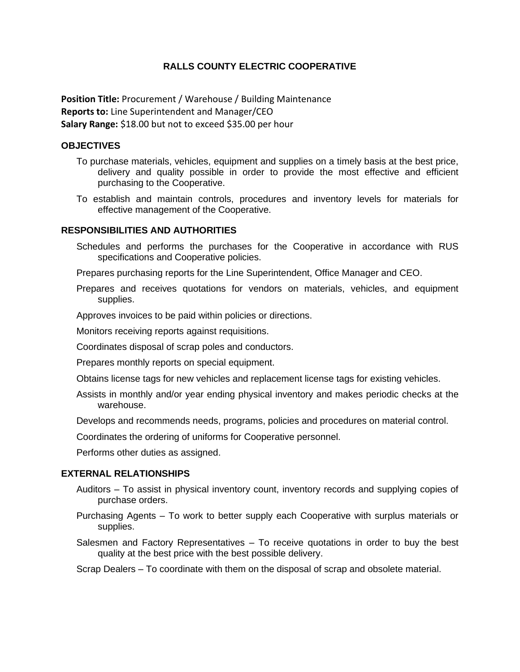# **RALLS COUNTY ELECTRIC COOPERATIVE**

**Position Title:** Procurement / Warehouse / Building Maintenance **Reports to:** Line Superintendent and Manager/CEO **Salary Range:** \$18.00 but not to exceed \$35.00 per hour

#### **OBJECTIVES**

- To purchase materials, vehicles, equipment and supplies on a timely basis at the best price, delivery and quality possible in order to provide the most effective and efficient purchasing to the Cooperative.
- To establish and maintain controls, procedures and inventory levels for materials for effective management of the Cooperative.

## **RESPONSIBILITIES AND AUTHORITIES**

Schedules and performs the purchases for the Cooperative in accordance with RUS specifications and Cooperative policies.

Prepares purchasing reports for the Line Superintendent, Office Manager and CEO.

Prepares and receives quotations for vendors on materials, vehicles, and equipment supplies.

Approves invoices to be paid within policies or directions.

Monitors receiving reports against requisitions.

Coordinates disposal of scrap poles and conductors.

Prepares monthly reports on special equipment.

- Obtains license tags for new vehicles and replacement license tags for existing vehicles.
- Assists in monthly and/or year ending physical inventory and makes periodic checks at the warehouse.
- Develops and recommends needs, programs, policies and procedures on material control.

Coordinates the ordering of uniforms for Cooperative personnel.

Performs other duties as assigned.

### **EXTERNAL RELATIONSHIPS**

- Auditors To assist in physical inventory count, inventory records and supplying copies of purchase orders.
- Purchasing Agents To work to better supply each Cooperative with surplus materials or supplies.
- Salesmen and Factory Representatives To receive quotations in order to buy the best quality at the best price with the best possible delivery.

Scrap Dealers – To coordinate with them on the disposal of scrap and obsolete material.